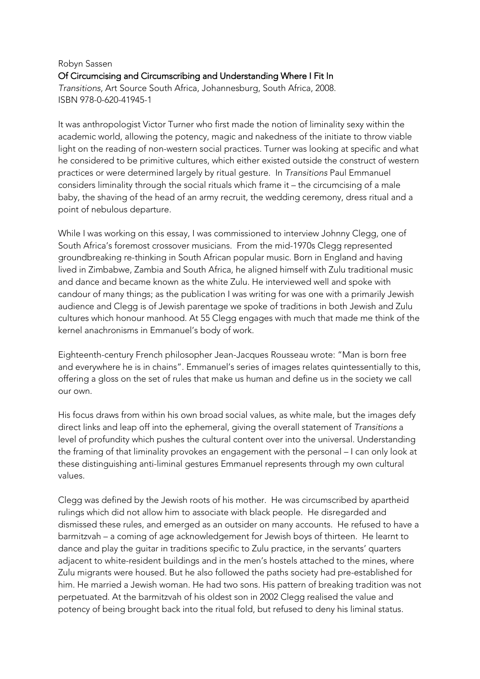## Robyn Sassen Of Circumcising and Circumscribing and Understanding Where I Fit In *Transitions*, Art Source South Africa, Johannesburg, South Africa, 2008. ISBN 978-0-620-41945-1

It was anthropologist Victor Turner who first made the notion of liminality sexy within the academic world, allowing the potency, magic and nakedness of the initiate to throw viable light on the reading of non-western social practices. Turner was looking at specific and what he considered to be primitive cultures, which either existed outside the construct of western practices or were determined largely by ritual gesture. In *Transitions* Paul Emmanuel considers liminality through the social rituals which frame it – the circumcising of a male baby, the shaving of the head of an army recruit, the wedding ceremony, dress ritual and a point of nebulous departure.

While I was working on this essay, I was commissioned to interview Johnny Clegg, one of South Africa's foremost crossover musicians. From the mid-1970s Clegg represented groundbreaking re-thinking in South African popular music. Born in England and having lived in Zimbabwe, Zambia and South Africa, he aligned himself with Zulu traditional music and dance and became known as the white Zulu. He interviewed well and spoke with candour of many things; as the publication I was writing for was one with a primarily Jewish audience and Clegg is of Jewish parentage we spoke of traditions in both Jewish and Zulu cultures which honour manhood. At 55 Clegg engages with much that made me think of the kernel anachronisms in Emmanuel's body of work.

Eighteenth-century French philosopher Jean-Jacques Rousseau wrote: "Man is born free and everywhere he is in chains". Emmanuel's series of images relates quintessentially to this, offering a gloss on the set of rules that make us human and define us in the society we call our own.

His focus draws from within his own broad social values, as white male, but the images defy direct links and leap off into the ephemeral, giving the overall statement of *Transitions* a level of profundity which pushes the cultural content over into the universal. Understanding the framing of that liminality provokes an engagement with the personal – I can only look at these distinguishing anti-liminal gestures Emmanuel represents through my own cultural values.

Clegg was defined by the Jewish roots of his mother. He was circumscribed by apartheid rulings which did not allow him to associate with black people. He disregarded and dismissed these rules, and emerged as an outsider on many accounts. He refused to have a barmitzvah – a coming of age acknowledgement for Jewish boys of thirteen. He learnt to dance and play the guitar in traditions specific to Zulu practice, in the servants' quarters adiacent to white-resident buildings and in the men's hostels attached to the mines, where Zulu migrants were housed. But he also followed the paths society had pre-established for him. He married a Jewish woman. He had two sons. His pattern of breaking tradition was not perpetuated. At the barmitzvah of his oldest son in 2002 Clegg realised the value and potency of being brought back into the ritual fold, but refused to deny his liminal status.